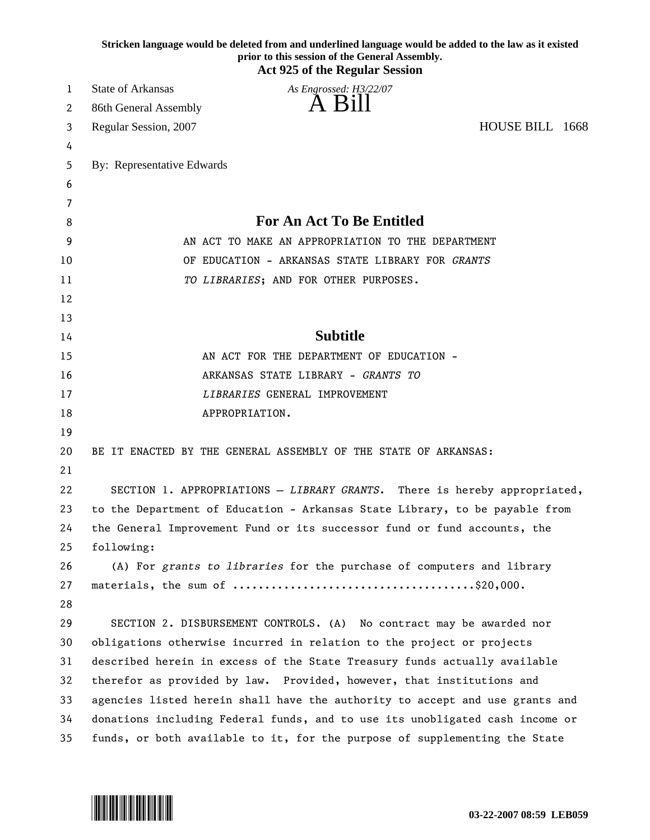| Stricken language would be deleted from and underlined language would be added to the law as it existed<br>prior to this session of the General Assembly.<br><b>Act 925 of the Regular Session</b> |                                                                              |  |
|----------------------------------------------------------------------------------------------------------------------------------------------------------------------------------------------------|------------------------------------------------------------------------------|--|
| 1                                                                                                                                                                                                  | <b>State of Arkansas</b><br>As Engrossed: H3/22/07                           |  |
| 2                                                                                                                                                                                                  | A Bill<br>86th General Assembly                                              |  |
| 3                                                                                                                                                                                                  | HOUSE BILL 1668<br>Regular Session, 2007                                     |  |
| 4                                                                                                                                                                                                  |                                                                              |  |
| 5                                                                                                                                                                                                  | By: Representative Edwards                                                   |  |
| 6                                                                                                                                                                                                  |                                                                              |  |
| 7                                                                                                                                                                                                  |                                                                              |  |
| 8                                                                                                                                                                                                  | <b>For An Act To Be Entitled</b>                                             |  |
| 9                                                                                                                                                                                                  | AN ACT TO MAKE AN APPROPRIATION TO THE DEPARTMENT                            |  |
| 10                                                                                                                                                                                                 | OF EDUCATION - ARKANSAS STATE LIBRARY FOR GRANTS                             |  |
| 11                                                                                                                                                                                                 | TO LIBRARIES; AND FOR OTHER PURPOSES.                                        |  |
| 12                                                                                                                                                                                                 |                                                                              |  |
| 13                                                                                                                                                                                                 |                                                                              |  |
| 14                                                                                                                                                                                                 | <b>Subtitle</b>                                                              |  |
| 15                                                                                                                                                                                                 | AN ACT FOR THE DEPARTMENT OF EDUCATION -                                     |  |
| 16                                                                                                                                                                                                 | ARKANSAS STATE LIBRARY - GRANTS TO                                           |  |
| 17                                                                                                                                                                                                 | LIBRARIES GENERAL IMPROVEMENT                                                |  |
| 18                                                                                                                                                                                                 | APPROPRIATION.                                                               |  |
| 19                                                                                                                                                                                                 |                                                                              |  |
| 20                                                                                                                                                                                                 | BE IT ENACTED BY THE GENERAL ASSEMBLY OF THE STATE OF ARKANSAS:              |  |
| 21                                                                                                                                                                                                 |                                                                              |  |
| 22                                                                                                                                                                                                 | SECTION 1. APPROPRIATIONS - LIBRARY GRANTS. There is hereby appropriated,    |  |
| 23                                                                                                                                                                                                 | to the Department of Education - Arkansas State Library, to be payable from  |  |
| 24                                                                                                                                                                                                 | the General Improvement Fund or its successor fund or fund accounts, the     |  |
| 25                                                                                                                                                                                                 | following:                                                                   |  |
| 26                                                                                                                                                                                                 | (A) For grants to libraries for the purchase of computers and library        |  |
| 27                                                                                                                                                                                                 |                                                                              |  |
| 28                                                                                                                                                                                                 |                                                                              |  |
| 29                                                                                                                                                                                                 | SECTION 2. DISBURSEMENT CONTROLS. (A) No contract may be awarded nor         |  |
| 30                                                                                                                                                                                                 | obligations otherwise incurred in relation to the project or projects        |  |
| 31                                                                                                                                                                                                 | described herein in excess of the State Treasury funds actually available    |  |
| 32                                                                                                                                                                                                 | therefor as provided by law. Provided, however, that institutions and        |  |
| 33                                                                                                                                                                                                 | agencies listed herein shall have the authority to accept and use grants and |  |
| 34                                                                                                                                                                                                 | donations including Federal funds, and to use its unobligated cash income or |  |
| 35                                                                                                                                                                                                 | funds, or both available to it, for the purpose of supplementing the State   |  |